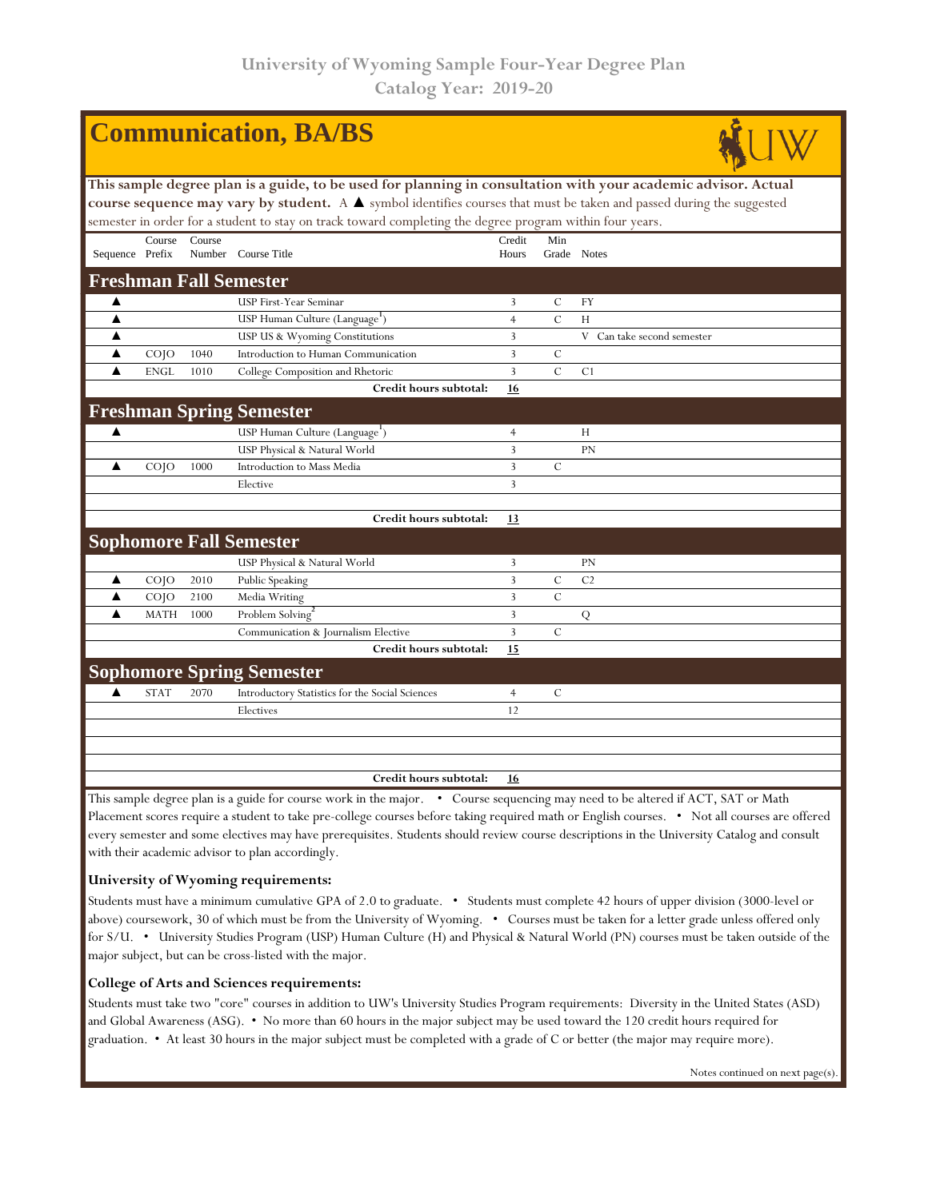| <b>Communication, BA/BS</b>                                                                                                                                                                                                                                                     |                    |        |                                                 |                |               |                            |  |  |  |  |  |
|---------------------------------------------------------------------------------------------------------------------------------------------------------------------------------------------------------------------------------------------------------------------------------|--------------------|--------|-------------------------------------------------|----------------|---------------|----------------------------|--|--|--|--|--|
| This sample degree plan is a guide, to be used for planning in consultation with your academic advisor. Actual                                                                                                                                                                  |                    |        |                                                 |                |               |                            |  |  |  |  |  |
| course sequence may vary by student. A $\blacktriangle$ symbol identifies courses that must be taken and passed during the suggested                                                                                                                                            |                    |        |                                                 |                |               |                            |  |  |  |  |  |
| semester in order for a student to stay on track toward completing the degree program within four years.                                                                                                                                                                        |                    |        |                                                 |                |               |                            |  |  |  |  |  |
|                                                                                                                                                                                                                                                                                 | Course             | Course |                                                 | Credit         | Min           |                            |  |  |  |  |  |
| Sequence Prefix                                                                                                                                                                                                                                                                 |                    |        | Number Course Title                             | Hours          |               | Grade Notes                |  |  |  |  |  |
| <b>Freshman Fall Semester</b>                                                                                                                                                                                                                                                   |                    |        |                                                 |                |               |                            |  |  |  |  |  |
| ▲                                                                                                                                                                                                                                                                               |                    |        | USP First-Year Seminar                          | 3              | $\mathcal{C}$ | <b>FY</b>                  |  |  |  |  |  |
| ▲                                                                                                                                                                                                                                                                               |                    |        | USP Human Culture (Language <sup>1</sup> )      | 4              | $\mathcal{C}$ | H                          |  |  |  |  |  |
| ▲                                                                                                                                                                                                                                                                               |                    |        | USP US & Wyoming Constitutions                  | 3              |               | V Can take second semester |  |  |  |  |  |
| ▲                                                                                                                                                                                                                                                                               | CO <sub>1</sub>    | 1040   | Introduction to Human Communication             | 3              | C             |                            |  |  |  |  |  |
| ▲                                                                                                                                                                                                                                                                               | <b>ENGL</b>        | 1010   | College Composition and Rhetoric                | 3              | $\mathcal{C}$ | C1                         |  |  |  |  |  |
|                                                                                                                                                                                                                                                                                 |                    |        | Credit hours subtotal:                          | <u>16</u>      |               |                            |  |  |  |  |  |
|                                                                                                                                                                                                                                                                                 |                    |        | <b>Freshman Spring Semester</b>                 |                |               |                            |  |  |  |  |  |
| $\blacktriangle$                                                                                                                                                                                                                                                                |                    |        | USP Human Culture (Language <sup>1</sup> )      | $\overline{4}$ |               | H                          |  |  |  |  |  |
|                                                                                                                                                                                                                                                                                 |                    |        | USP Physical & Natural World                    | 3              |               | PN                         |  |  |  |  |  |
| ▲                                                                                                                                                                                                                                                                               | $CO$ <sub>IO</sub> | 1000   | Introduction to Mass Media                      | 3              | $\mathcal{C}$ |                            |  |  |  |  |  |
|                                                                                                                                                                                                                                                                                 |                    |        | Elective                                        | 3              |               |                            |  |  |  |  |  |
|                                                                                                                                                                                                                                                                                 |                    |        |                                                 |                |               |                            |  |  |  |  |  |
|                                                                                                                                                                                                                                                                                 |                    |        | Credit hours subtotal:                          | 13             |               |                            |  |  |  |  |  |
|                                                                                                                                                                                                                                                                                 |                    |        | <b>Sophomore Fall Semester</b>                  |                |               |                            |  |  |  |  |  |
|                                                                                                                                                                                                                                                                                 |                    |        | USP Physical & Natural World                    | 3              |               | PN                         |  |  |  |  |  |
| ▲                                                                                                                                                                                                                                                                               | $CO$ $IO$          | 2010   | Public Speaking                                 | 3              | $\mathcal{C}$ | C <sub>2</sub>             |  |  |  |  |  |
| ▲                                                                                                                                                                                                                                                                               | $CO$ $IO$          | 2100   | Media Writing                                   | 3              | C             |                            |  |  |  |  |  |
| ▲                                                                                                                                                                                                                                                                               | <b>MATH</b>        | 1000   | Problem Solving                                 | 3              |               | Q                          |  |  |  |  |  |
|                                                                                                                                                                                                                                                                                 |                    |        | Communication & Journalism Elective             | 3              | $\mathcal{C}$ |                            |  |  |  |  |  |
|                                                                                                                                                                                                                                                                                 |                    |        | Credit hours subtotal:                          | 15             |               |                            |  |  |  |  |  |
|                                                                                                                                                                                                                                                                                 |                    |        | <b>Sophomore Spring Semester</b>                |                |               |                            |  |  |  |  |  |
|                                                                                                                                                                                                                                                                                 | <b>STAT</b>        | 2070   | Introductory Statistics for the Social Sciences | $\overline{4}$ | $\mathcal{C}$ |                            |  |  |  |  |  |
|                                                                                                                                                                                                                                                                                 |                    |        | Electives                                       | 12             |               |                            |  |  |  |  |  |
|                                                                                                                                                                                                                                                                                 |                    |        |                                                 |                |               |                            |  |  |  |  |  |
|                                                                                                                                                                                                                                                                                 |                    |        | Credit hours subtotal:                          | 16             |               |                            |  |  |  |  |  |
| This sample degree plan is a guide for course work in the major. • Course sequencing may need to be altered if ACT, SAT or Math<br>Placement scores require a student to take pre-college courses before taking required math or English courses. • Not all courses are offered |                    |        |                                                 |                |               |                            |  |  |  |  |  |

Placement scores require a student to take pre-college courses before taking required math or English courses. • Not all courses are offered every semester and some electives may have prerequisites. Students should review course descriptions in the University Catalog and consult with their academic advisor to plan accordingly.

## **University of Wyoming requirements:**

Students must have a minimum cumulative GPA of 2.0 to graduate. • Students must complete 42 hours of upper division (3000-level or above) coursework, 30 of which must be from the University of Wyoming. • Courses must be taken for a letter grade unless offered only for S/U. • University Studies Program (USP) Human Culture (H) and Physical & Natural World (PN) courses must be taken outside of the major subject, but can be cross-listed with the major.

## **College of Arts and Sciences requirements:**

Students must take two "core" courses in addition to UW's University Studies Program requirements: Diversity in the United States (ASD) and Global Awareness (ASG). • No more than 60 hours in the major subject may be used toward the 120 credit hours required for graduation. • At least 30 hours in the major subject must be completed with a grade of C or better (the major may require more).